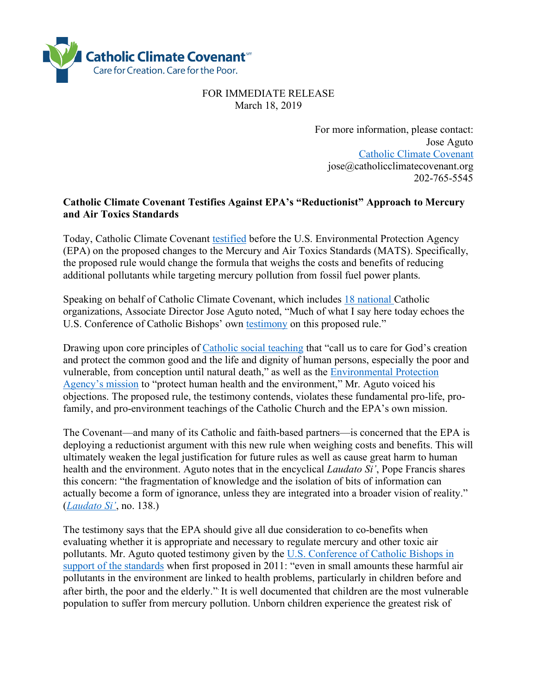

FOR IMMEDIATE RELEASE March 18, 2019

> For more information, please contact: Jose Aguto Catholic Climate Covenant jose@catholicclimatecovenant.org 202-765-5545

## **Catholic Climate Covenant Testifies Against EPA's "Reductionist" Approach to Mercury and Air Toxics Standards**

Today, Catholic Climate Covenant testified before the U.S. Environmental Protection Agency (EPA) on the proposed changes to the Mercury and Air Toxics Standards (MATS). Specifically, the proposed rule would change the formula that weighs the costs and benefits of reducing additional pollutants while targeting mercury pollution from fossil fuel power plants.

Speaking on behalf of Catholic Climate Covenant, which includes 18 national Catholic organizations, Associate Director Jose Aguto noted, "Much of what I say here today echoes the U.S. Conference of Catholic Bishops' own testimony on this proposed rule."

Drawing upon core principles of Catholic social teaching that "call us to care for God's creation and protect the common good and the life and dignity of human persons, especially the poor and vulnerable, from conception until natural death," as well as the Environmental Protection Agency's mission to "protect human health and the environment," Mr. Aguto voiced his objections. The proposed rule, the testimony contends, violates these fundamental pro-life, profamily, and pro-environment teachings of the Catholic Church and the EPA's own mission.

The Covenant—and many of its Catholic and faith-based partners—is concerned that the EPA is deploying a reductionist argument with this new rule when weighing costs and benefits. This will ultimately weaken the legal justification for future rules as well as cause great harm to human health and the environment. Aguto notes that in the encyclical *Laudato Si'*, Pope Francis shares this concern: "the fragmentation of knowledge and the isolation of bits of information can actually become a form of ignorance, unless they are integrated into a broader vision of reality." (*Laudato Si'*, no. 138.)

The testimony says that the EPA should give all due consideration to co-benefits when evaluating whether it is appropriate and necessary to regulate mercury and other toxic air pollutants. Mr. Aguto quoted testimony given by the U.S. Conference of Catholic Bishops in support of the standards when first proposed in 2011: "even in small amounts these harmful air pollutants in the environment are linked to health problems, particularly in children before and after birth, the poor and the elderly.". It is well documented that children are the most vulnerable population to suffer from mercury pollution. Unborn children experience the greatest risk of